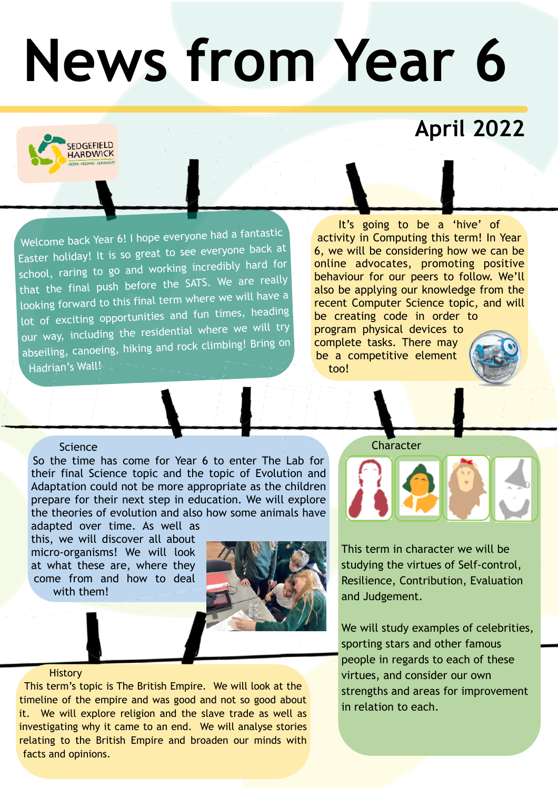# **News from Year 6**

### **April 2022**

Welcome back Year 6! I hope everyone had a fantastic Easter holiday! It is so great to see everyone back at school, raring to go and working incredibly hard for that the final push before the SATS. We are really looking forward to this final term where we will have a lot of exciting opportunities and fun times, heading our way, including the residential where we will try abseiling, canoeing, hiking and rock climbing! Bring on Hadrian's Wall!

It's going to be a 'hive' of activity in Computing this term! In Year 6, we will be considering how we can be online advocates, promoting positive behaviour for our peers to follow. We'll also be applying our knowledge from the recent Computer Science topic, and will be creating code in order to program physical devices to complete tasks. There may be a competitive element too!

#### **Science**

**EDGEFIELD IARDWICK** 

So the time has come for Year 6 to enter The Lab for their final Science topic and the topic of Evolution and Adaptation could not be more appropriate as the children prepare for their next step in education. We will explore the theories of evolution and also how some animals have adapted over time. As well as

this, we will discover all about micro-organisms! We will look at what these are, where they come from and how to deal with them!



#### **History**

This term's topic is The British Empire. We will look at the timeline of the empire and was good and not so good about it. We will explore religion and the slave trade as well as investigating why it came to an end. We will analyse stories relating to the British Empire and broaden our minds with facts and opinions.

#### **Character**



This term in character we will be studying the virtues of Self-control, Resilience, Contribution, Evaluation and Judgement.

We will study examples of celebrities, sporting stars and other famous people in regards to each of these virtues, and consider our own strengths and areas for improvement in relation to each.